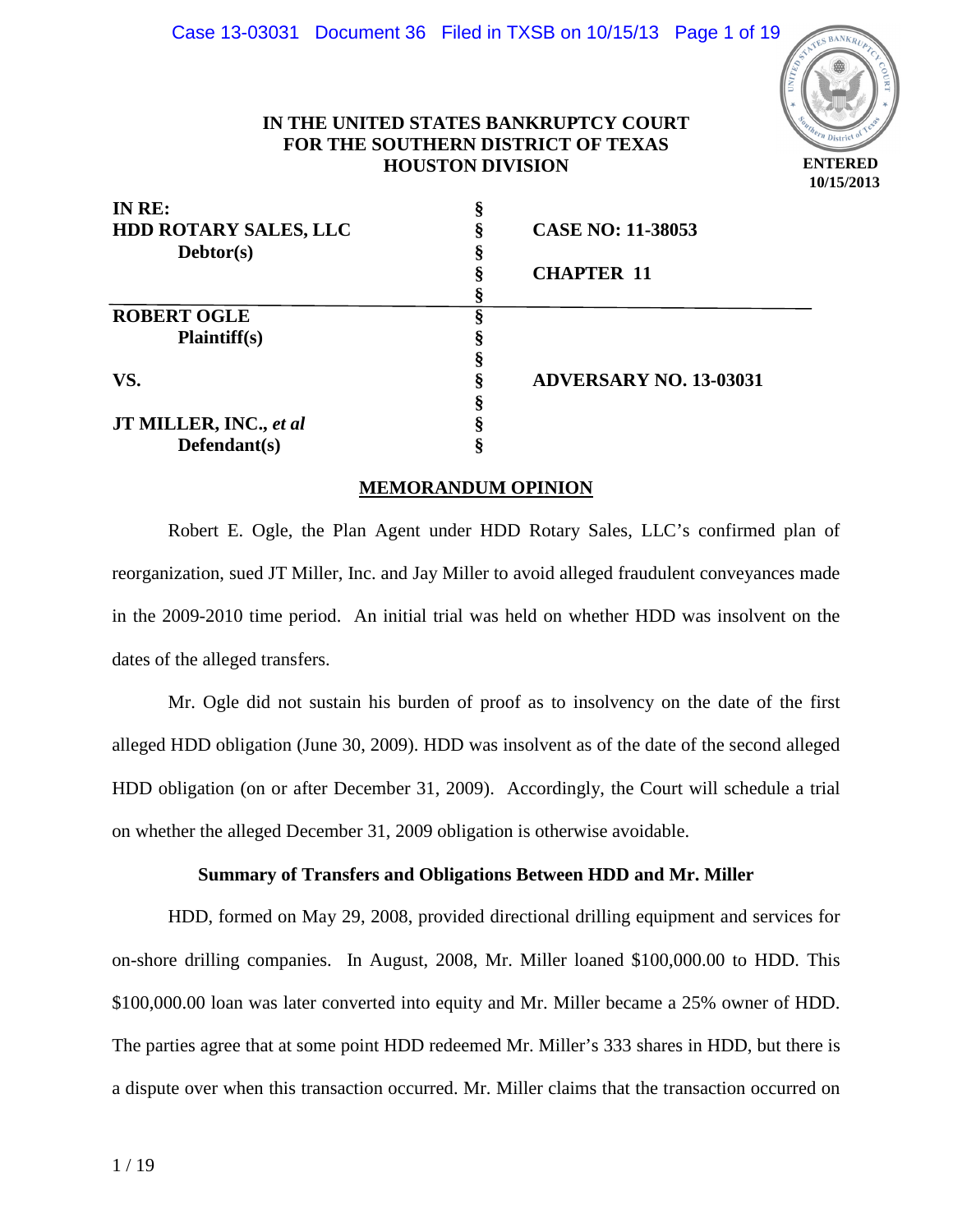

## **IN THE UNITED STATES BANKRUPTCY COURT FOR THE SOUTHERN DISTRICT OF TEXAS HOUSTON DIVISION**

| IN RE:                       |                               |
|------------------------------|-------------------------------|
| <b>HDD ROTARY SALES, LLC</b> | <b>CASE NO: 11-38053</b>      |
| Debtor(s)                    |                               |
|                              | <b>CHAPTER 11</b>             |
|                              |                               |
| <b>ROBERT OGLE</b>           |                               |
| <b>Plaintiff(s)</b>          |                               |
|                              |                               |
| VS.                          | <b>ADVERSARY NO. 13-03031</b> |
|                              |                               |
| JT MILLER, INC., et al       |                               |
| Defendant(s)                 |                               |

### **MEMORANDUM OPINION**

 Robert E. Ogle, the Plan Agent under HDD Rotary Sales, LLC's confirmed plan of reorganization, sued JT Miller, Inc. and Jay Miller to avoid alleged fraudulent conveyances made in the 2009-2010 time period. An initial trial was held on whether HDD was insolvent on the dates of the alleged transfers.

 Mr. Ogle did not sustain his burden of proof as to insolvency on the date of the first alleged HDD obligation (June 30, 2009). HDD was insolvent as of the date of the second alleged HDD obligation (on or after December 31, 2009). Accordingly, the Court will schedule a trial on whether the alleged December 31, 2009 obligation is otherwise avoidable.

### **Summary of Transfers and Obligations Between HDD and Mr. Miller**

HDD, formed on May 29, 2008, provided directional drilling equipment and services for on-shore drilling companies. In August, 2008, Mr. Miller loaned \$100,000.00 to HDD. This \$100,000.00 loan was later converted into equity and Mr. Miller became a 25% owner of HDD. The parties agree that at some point HDD redeemed Mr. Miller's 333 shares in HDD, but there is a dispute over when this transaction occurred. Mr. Miller claims that the transaction occurred on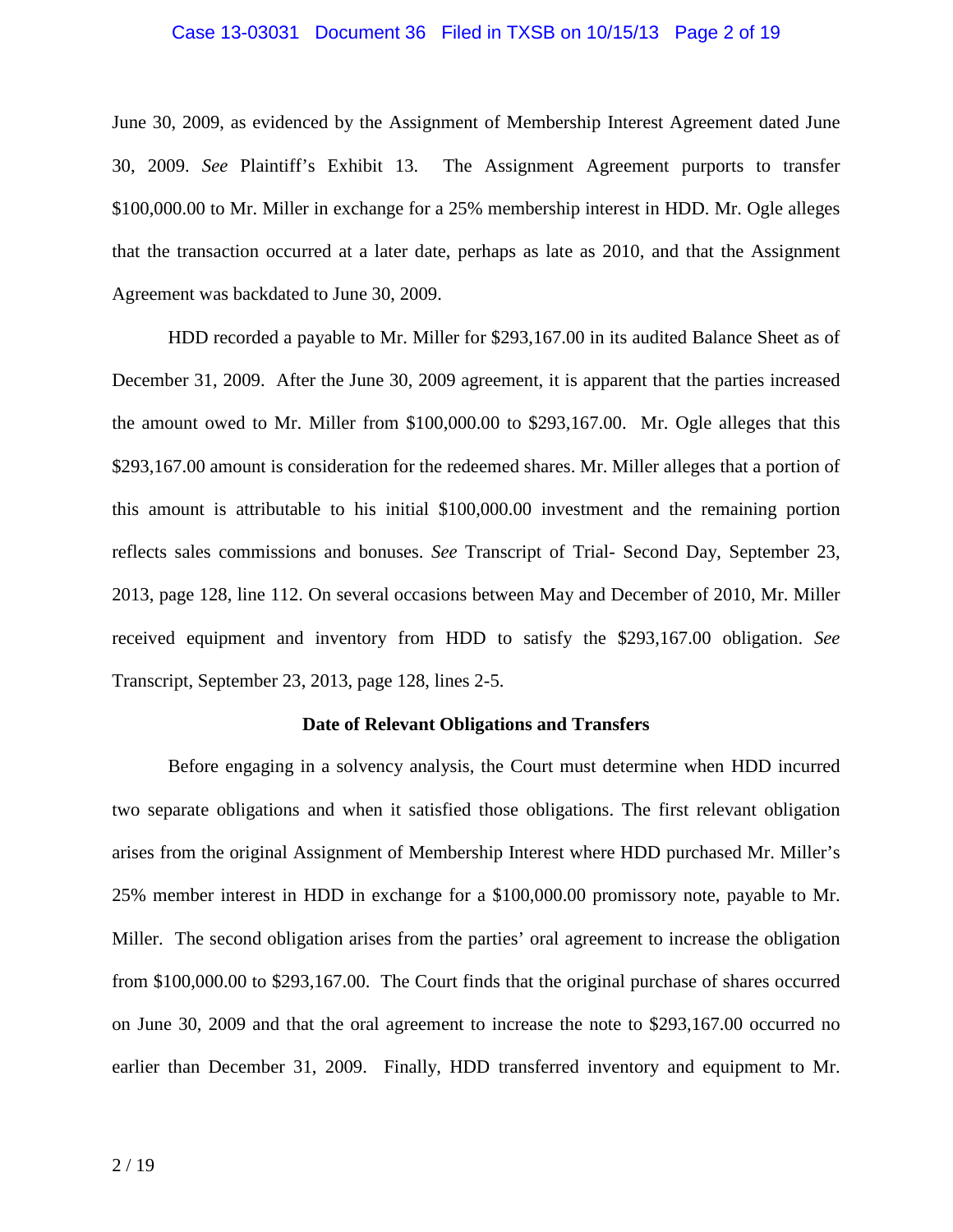#### Case 13-03031 Document 36 Filed in TXSB on 10/15/13 Page 2 of 19

June 30, 2009, as evidenced by the Assignment of Membership Interest Agreement dated June 30, 2009. *See* Plaintiff's Exhibit 13. The Assignment Agreement purports to transfer \$100,000.00 to Mr. Miller in exchange for a 25% membership interest in HDD. Mr. Ogle alleges that the transaction occurred at a later date, perhaps as late as 2010, and that the Assignment Agreement was backdated to June 30, 2009.

HDD recorded a payable to Mr. Miller for \$293,167.00 in its audited Balance Sheet as of December 31, 2009. After the June 30, 2009 agreement, it is apparent that the parties increased the amount owed to Mr. Miller from \$100,000.00 to \$293,167.00. Mr. Ogle alleges that this \$293,167.00 amount is consideration for the redeemed shares. Mr. Miller alleges that a portion of this amount is attributable to his initial \$100,000.00 investment and the remaining portion reflects sales commissions and bonuses. *See* Transcript of Trial- Second Day, September 23, 2013, page 128, line 112. On several occasions between May and December of 2010, Mr. Miller received equipment and inventory from HDD to satisfy the \$293,167.00 obligation. *See*  Transcript, September 23, 2013, page 128, lines 2-5.

#### **Date of Relevant Obligations and Transfers**

 Before engaging in a solvency analysis, the Court must determine when HDD incurred two separate obligations and when it satisfied those obligations. The first relevant obligation arises from the original Assignment of Membership Interest where HDD purchased Mr. Miller's 25% member interest in HDD in exchange for a \$100,000.00 promissory note, payable to Mr. Miller. The second obligation arises from the parties' oral agreement to increase the obligation from \$100,000.00 to \$293,167.00. The Court finds that the original purchase of shares occurred on June 30, 2009 and that the oral agreement to increase the note to \$293,167.00 occurred no earlier than December 31, 2009. Finally, HDD transferred inventory and equipment to Mr.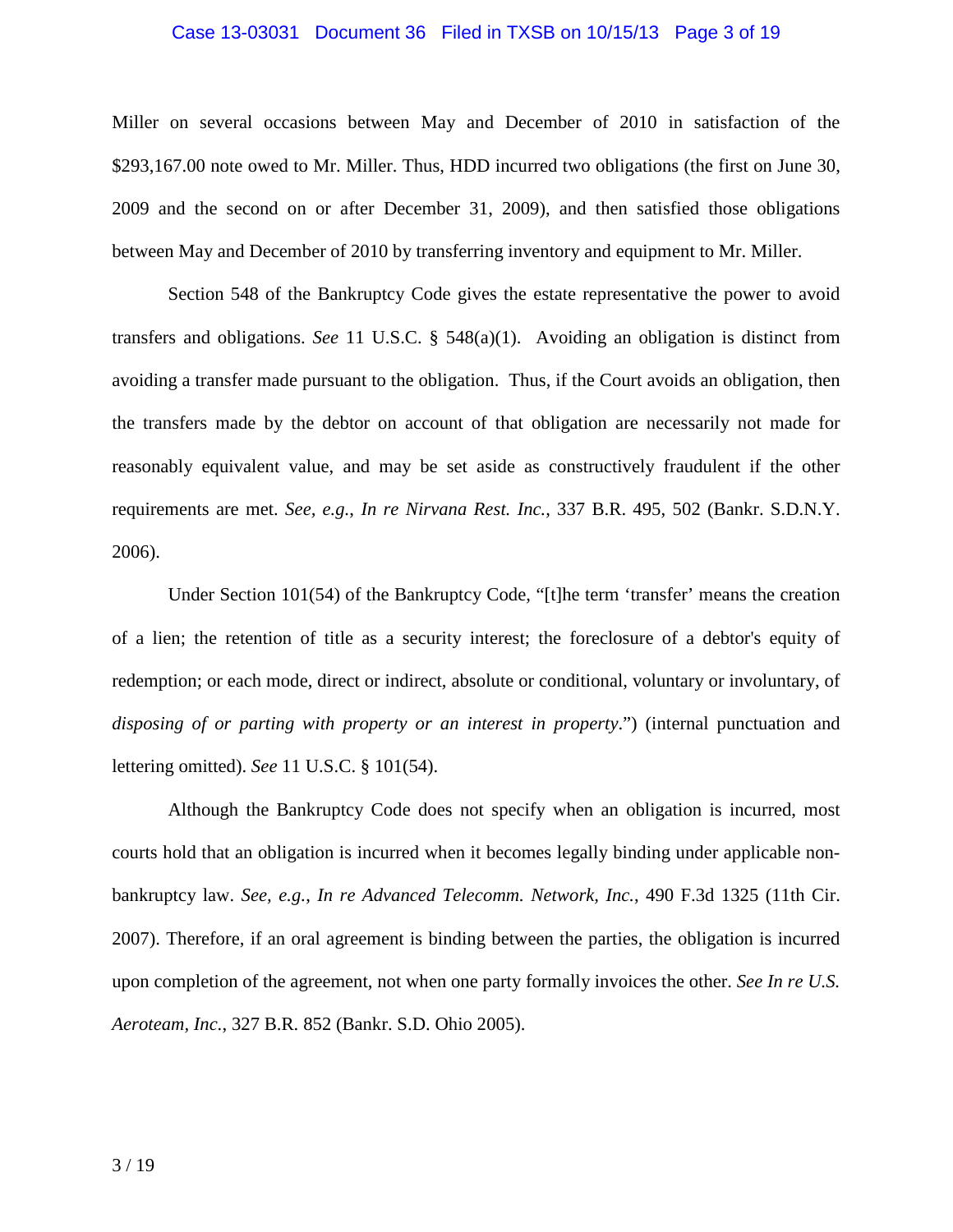#### Case 13-03031 Document 36 Filed in TXSB on 10/15/13 Page 3 of 19

Miller on several occasions between May and December of 2010 in satisfaction of the \$293,167.00 note owed to Mr. Miller. Thus, HDD incurred two obligations (the first on June 30, 2009 and the second on or after December 31, 2009), and then satisfied those obligations between May and December of 2010 by transferring inventory and equipment to Mr. Miller.

Section 548 of the Bankruptcy Code gives the estate representative the power to avoid transfers and obligations. *See* 11 U.S.C. § 548(a)(1). Avoiding an obligation is distinct from avoiding a transfer made pursuant to the obligation. Thus, if the Court avoids an obligation, then the transfers made by the debtor on account of that obligation are necessarily not made for reasonably equivalent value, and may be set aside as constructively fraudulent if the other requirements are met. *See, e.g.*, *In re Nirvana Rest. Inc.*, 337 B.R. 495, 502 (Bankr. S.D.N.Y. 2006).

Under Section 101(54) of the Bankruptcy Code, "[t]he term 'transfer' means the creation of a lien; the retention of title as a security interest; the foreclosure of a debtor's equity of redemption; or each mode, direct or indirect, absolute or conditional, voluntary or involuntary, of *disposing of or parting with property or an interest in property*.") (internal punctuation and lettering omitted). *See* 11 U.S.C. § 101(54).

Although the Bankruptcy Code does not specify when an obligation is incurred, most courts hold that an obligation is incurred when it becomes legally binding under applicable nonbankruptcy law. *See, e.g.*, *In re Advanced Telecomm. Network, Inc.*, 490 F.3d 1325 (11th Cir. 2007). Therefore, if an oral agreement is binding between the parties, the obligation is incurred upon completion of the agreement, not when one party formally invoices the other. *See In re U.S. Aeroteam, Inc.*, 327 B.R. 852 (Bankr. S.D. Ohio 2005).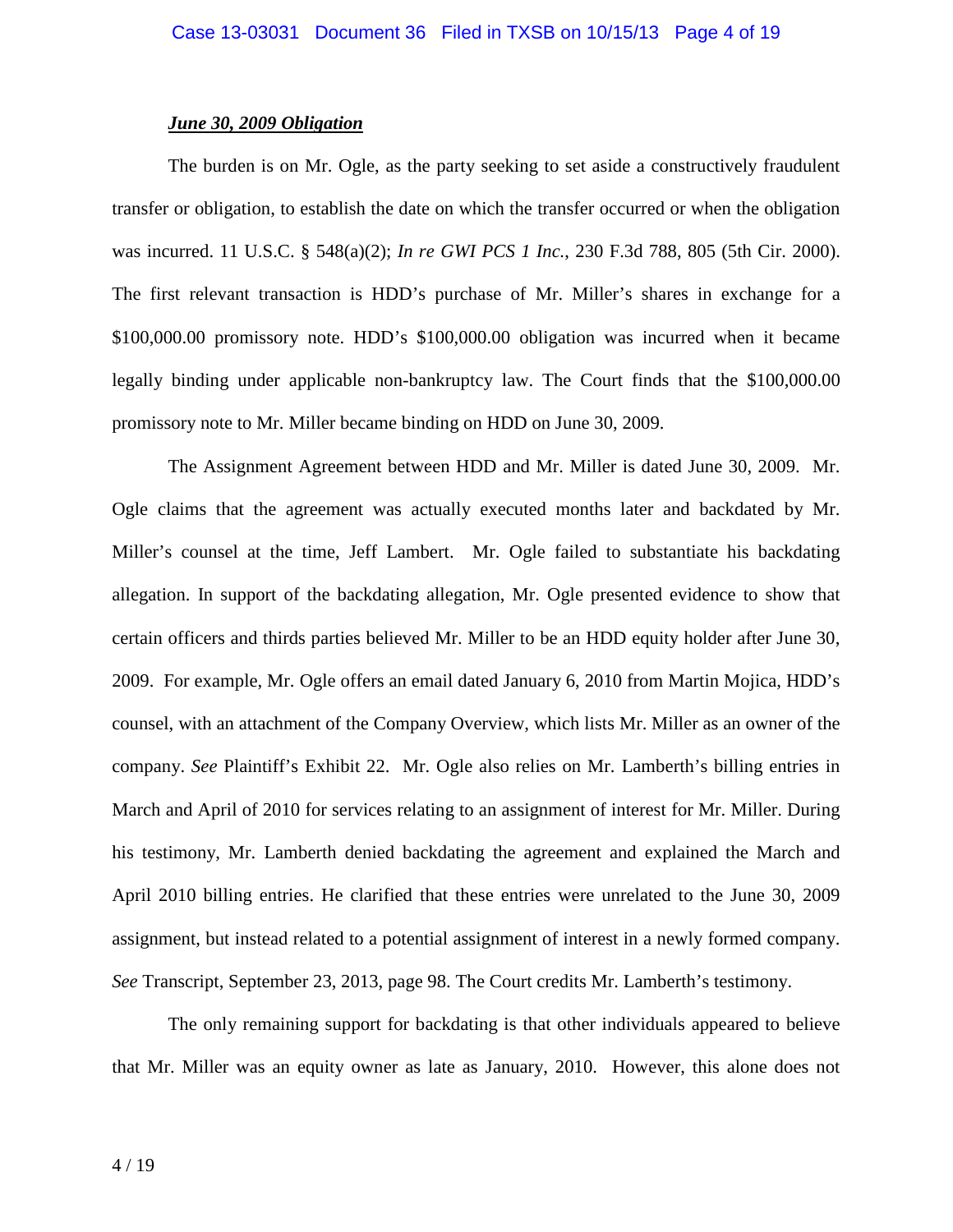### *June 30, 2009 Obligation*

The burden is on Mr. Ogle, as the party seeking to set aside a constructively fraudulent transfer or obligation, to establish the date on which the transfer occurred or when the obligation was incurred. 11 U.S.C. § 548(a)(2); *In re GWI PCS 1 Inc.*, 230 F.3d 788, 805 (5th Cir. 2000). The first relevant transaction is HDD's purchase of Mr. Miller's shares in exchange for a \$100,000.00 promissory note. HDD's \$100,000.00 obligation was incurred when it became legally binding under applicable non-bankruptcy law. The Court finds that the \$100,000.00 promissory note to Mr. Miller became binding on HDD on June 30, 2009.

The Assignment Agreement between HDD and Mr. Miller is dated June 30, 2009. Mr. Ogle claims that the agreement was actually executed months later and backdated by Mr. Miller's counsel at the time, Jeff Lambert. Mr. Ogle failed to substantiate his backdating allegation. In support of the backdating allegation, Mr. Ogle presented evidence to show that certain officers and thirds parties believed Mr. Miller to be an HDD equity holder after June 30, 2009. For example, Mr. Ogle offers an email dated January 6, 2010 from Martin Mojica, HDD's counsel, with an attachment of the Company Overview, which lists Mr. Miller as an owner of the company. *See* Plaintiff's Exhibit 22. Mr. Ogle also relies on Mr. Lamberth's billing entries in March and April of 2010 for services relating to an assignment of interest for Mr. Miller. During his testimony, Mr. Lamberth denied backdating the agreement and explained the March and April 2010 billing entries. He clarified that these entries were unrelated to the June 30, 2009 assignment, but instead related to a potential assignment of interest in a newly formed company. *See* Transcript, September 23, 2013, page 98. The Court credits Mr. Lamberth's testimony.

The only remaining support for backdating is that other individuals appeared to believe that Mr. Miller was an equity owner as late as January, 2010. However, this alone does not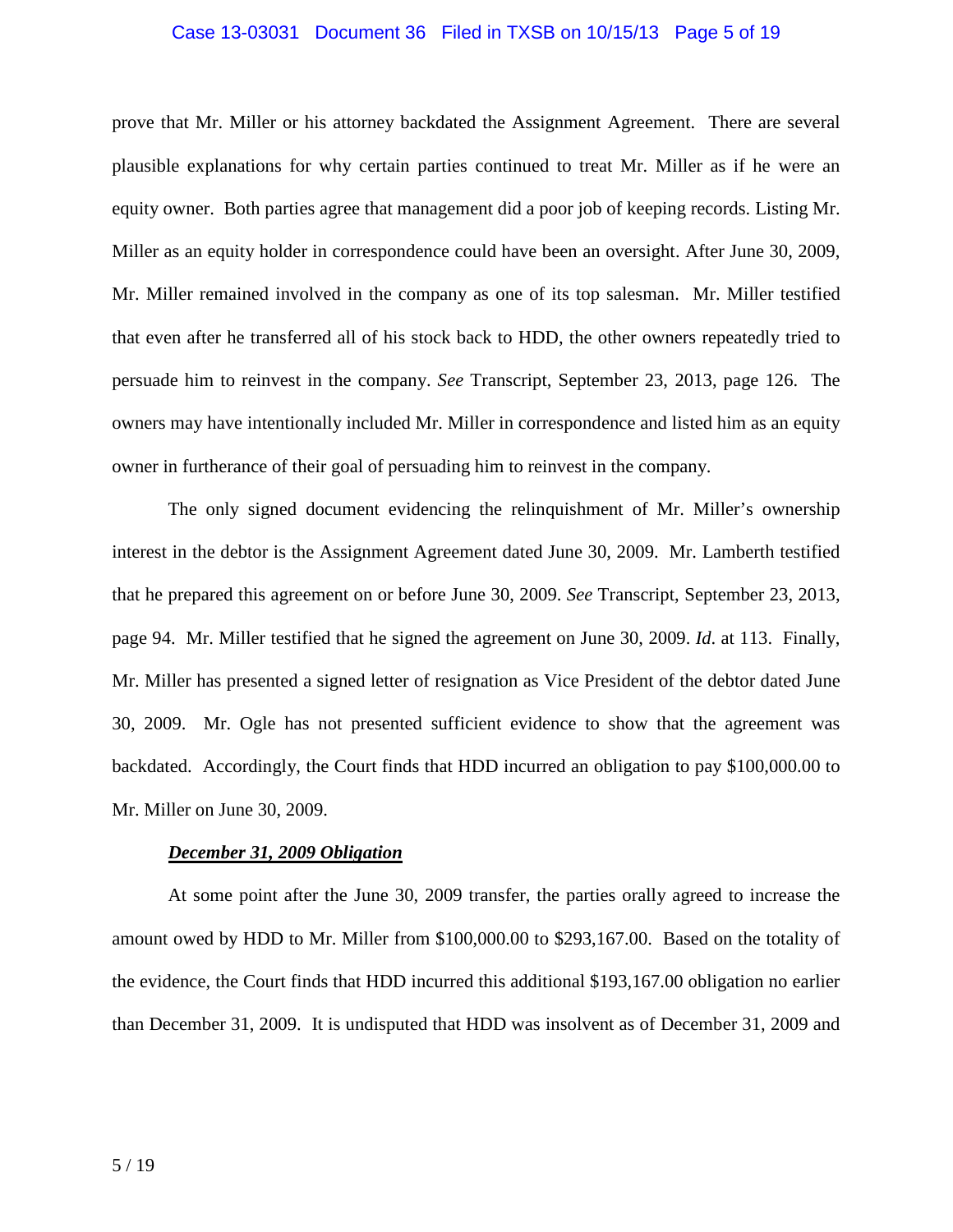#### Case 13-03031 Document 36 Filed in TXSB on 10/15/13 Page 5 of 19

prove that Mr. Miller or his attorney backdated the Assignment Agreement. There are several plausible explanations for why certain parties continued to treat Mr. Miller as if he were an equity owner. Both parties agree that management did a poor job of keeping records. Listing Mr. Miller as an equity holder in correspondence could have been an oversight. After June 30, 2009, Mr. Miller remained involved in the company as one of its top salesman. Mr. Miller testified that even after he transferred all of his stock back to HDD, the other owners repeatedly tried to persuade him to reinvest in the company. *See* Transcript, September 23, 2013, page 126. The owners may have intentionally included Mr. Miller in correspondence and listed him as an equity owner in furtherance of their goal of persuading him to reinvest in the company.

The only signed document evidencing the relinquishment of Mr. Miller's ownership interest in the debtor is the Assignment Agreement dated June 30, 2009. Mr. Lamberth testified that he prepared this agreement on or before June 30, 2009. *See* Transcript, September 23, 2013, page 94. Mr. Miller testified that he signed the agreement on June 30, 2009. *Id*. at 113. Finally, Mr. Miller has presented a signed letter of resignation as Vice President of the debtor dated June 30, 2009. Mr. Ogle has not presented sufficient evidence to show that the agreement was backdated. Accordingly, the Court finds that HDD incurred an obligation to pay \$100,000.00 to Mr. Miller on June 30, 2009.

### *December 31, 2009 Obligation*

 At some point after the June 30, 2009 transfer, the parties orally agreed to increase the amount owed by HDD to Mr. Miller from \$100,000.00 to \$293,167.00. Based on the totality of the evidence, the Court finds that HDD incurred this additional \$193,167.00 obligation no earlier than December 31, 2009. It is undisputed that HDD was insolvent as of December 31, 2009 and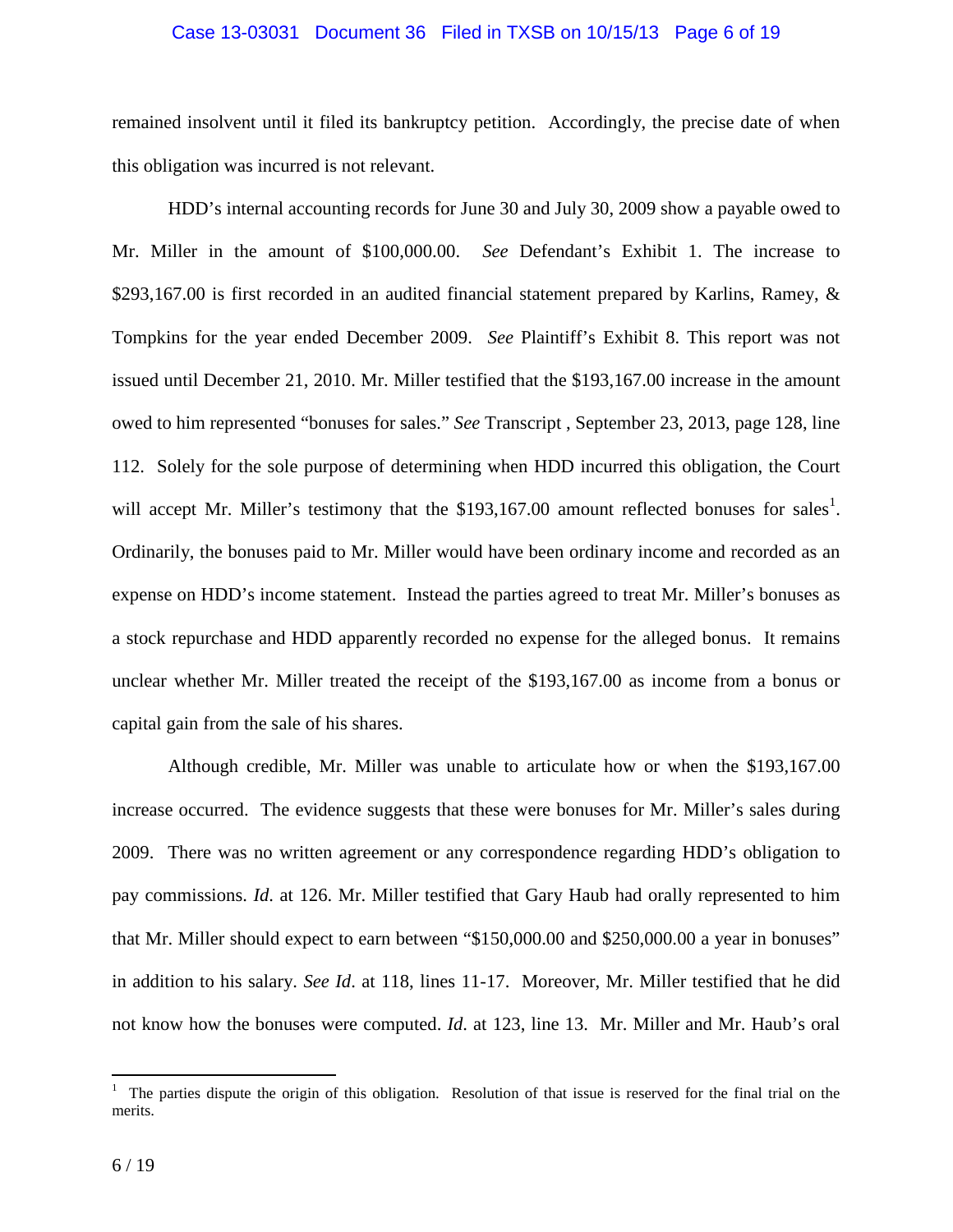#### Case 13-03031 Document 36 Filed in TXSB on 10/15/13 Page 6 of 19

remained insolvent until it filed its bankruptcy petition. Accordingly, the precise date of when this obligation was incurred is not relevant.

HDD's internal accounting records for June 30 and July 30, 2009 show a payable owed to Mr. Miller in the amount of \$100,000.00. *See* Defendant's Exhibit 1. The increase to \$293,167.00 is first recorded in an audited financial statement prepared by Karlins, Ramey, & Tompkins for the year ended December 2009. *See* Plaintiff's Exhibit 8. This report was not issued until December 21, 2010. Mr. Miller testified that the \$193,167.00 increase in the amount owed to him represented "bonuses for sales." *See* Transcript , September 23, 2013, page 128, line 112. Solely for the sole purpose of determining when HDD incurred this obligation, the Court will accept Mr. Miller's testimony that the \$193,167.00 amount reflected bonuses for sales<sup>1</sup>. Ordinarily, the bonuses paid to Mr. Miller would have been ordinary income and recorded as an expense on HDD's income statement. Instead the parties agreed to treat Mr. Miller's bonuses as a stock repurchase and HDD apparently recorded no expense for the alleged bonus. It remains unclear whether Mr. Miller treated the receipt of the \$193,167.00 as income from a bonus or capital gain from the sale of his shares.

Although credible, Mr. Miller was unable to articulate how or when the \$193,167.00 increase occurred. The evidence suggests that these were bonuses for Mr. Miller's sales during 2009. There was no written agreement or any correspondence regarding HDD's obligation to pay commissions. *Id*. at 126. Mr. Miller testified that Gary Haub had orally represented to him that Mr. Miller should expect to earn between "\$150,000.00 and \$250,000.00 a year in bonuses" in addition to his salary. *See Id*. at 118, lines 11-17. Moreover, Mr. Miller testified that he did not know how the bonuses were computed. *Id*. at 123, line 13. Mr. Miller and Mr. Haub's oral

<sup>&</sup>lt;sup>1</sup> The parties dispute the origin of this obligation. Resolution of that issue is reserved for the final trial on the merits.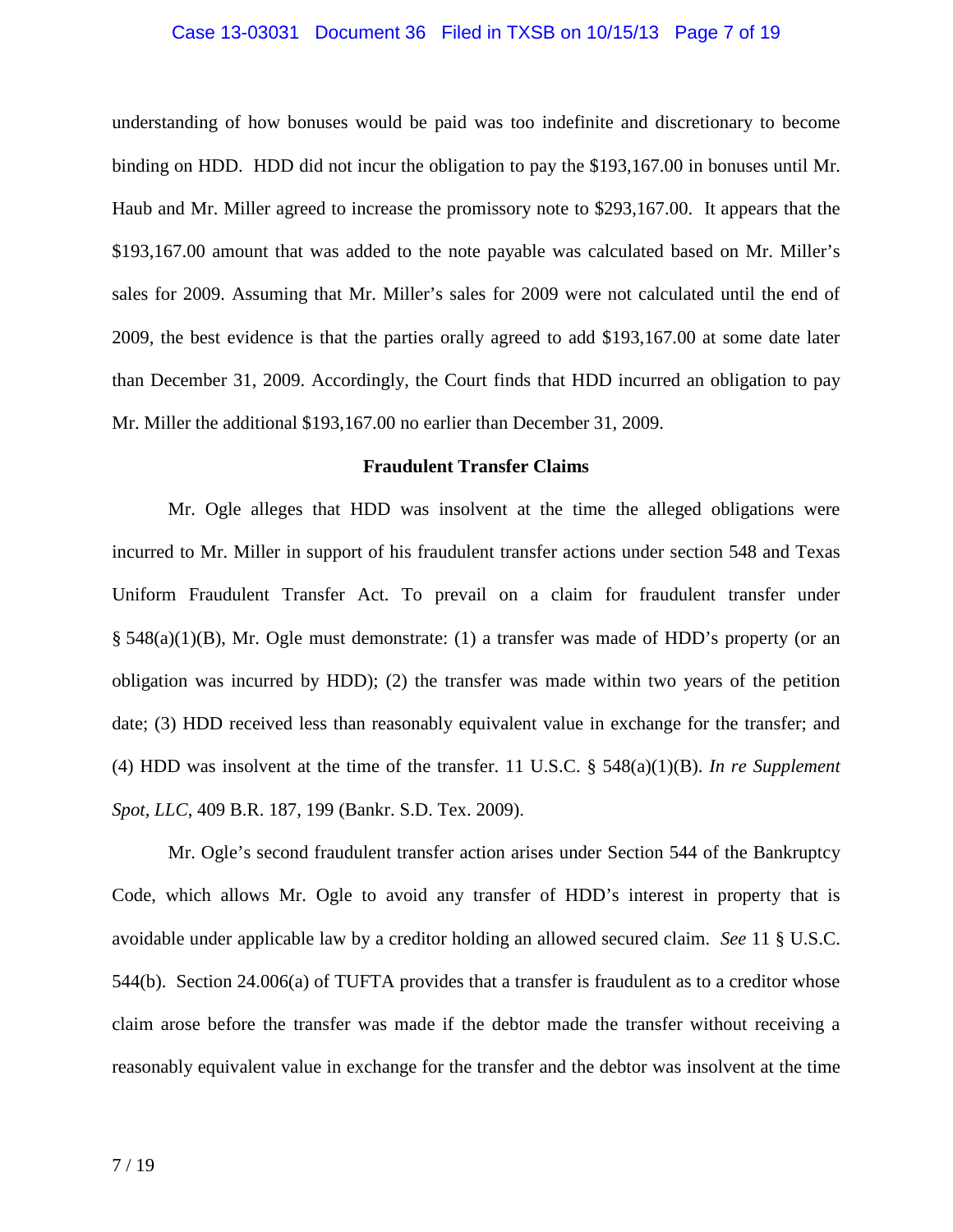#### Case 13-03031 Document 36 Filed in TXSB on 10/15/13 Page 7 of 19

understanding of how bonuses would be paid was too indefinite and discretionary to become binding on HDD. HDD did not incur the obligation to pay the \$193,167.00 in bonuses until Mr. Haub and Mr. Miller agreed to increase the promissory note to \$293,167.00. It appears that the \$193,167.00 amount that was added to the note payable was calculated based on Mr. Miller's sales for 2009. Assuming that Mr. Miller's sales for 2009 were not calculated until the end of 2009, the best evidence is that the parties orally agreed to add \$193,167.00 at some date later than December 31, 2009. Accordingly, the Court finds that HDD incurred an obligation to pay Mr. Miller the additional \$193,167.00 no earlier than December 31, 2009.

#### **Fraudulent Transfer Claims**

Mr. Ogle alleges that HDD was insolvent at the time the alleged obligations were incurred to Mr. Miller in support of his fraudulent transfer actions under section 548 and Texas Uniform Fraudulent Transfer Act. To prevail on a claim for fraudulent transfer under § 548(a)(1)(B), Mr. Ogle must demonstrate: (1) a transfer was made of HDD's property (or an obligation was incurred by HDD); (2) the transfer was made within two years of the petition date; (3) HDD received less than reasonably equivalent value in exchange for the transfer; and (4) HDD was insolvent at the time of the transfer. 11 U.S.C. § 548(a)(1)(B). *In re Supplement Spot, LLC*, 409 B.R. 187, 199 (Bankr. S.D. Tex. 2009).

Mr. Ogle's second fraudulent transfer action arises under Section 544 of the Bankruptcy Code, which allows Mr. Ogle to avoid any transfer of HDD's interest in property that is avoidable under applicable law by a creditor holding an allowed secured claim. *See* 11 § U.S.C. 544(b). Section 24.006(a) of TUFTA provides that a transfer is fraudulent as to a creditor whose claim arose before the transfer was made if the debtor made the transfer without receiving a reasonably equivalent value in exchange for the transfer and the debtor was insolvent at the time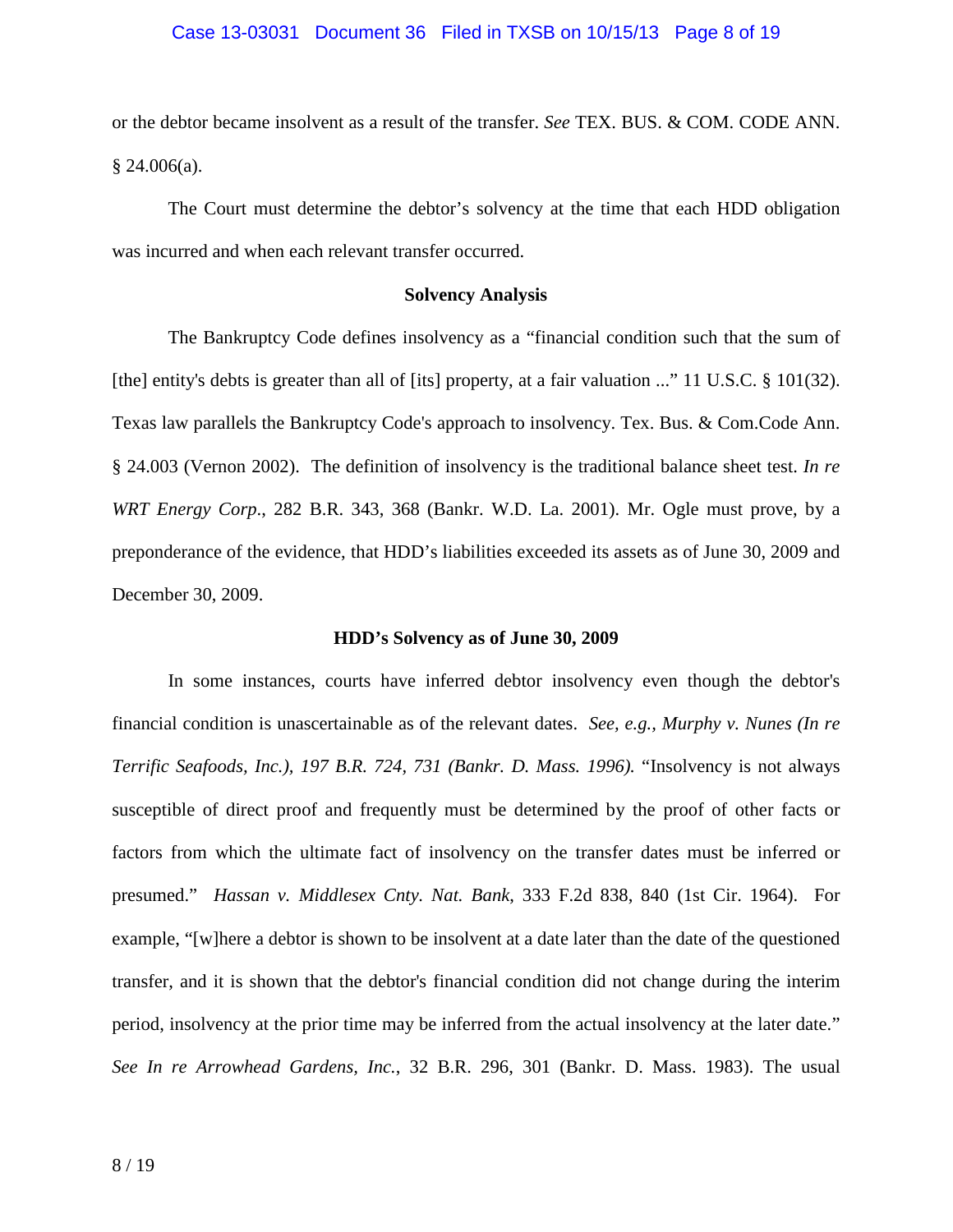#### Case 13-03031 Document 36 Filed in TXSB on 10/15/13 Page 8 of 19

or the debtor became insolvent as a result of the transfer. *See* TEX. BUS. & COM. CODE ANN.  $§$  24.006(a).

The Court must determine the debtor's solvency at the time that each HDD obligation was incurred and when each relevant transfer occurred.

### **Solvency Analysis**

 The Bankruptcy Code defines insolvency as a "financial condition such that the sum of [the] entity's debts is greater than all of [its] property, at a fair valuation ..." 11 U.S.C. § 101(32). Texas law parallels the Bankruptcy Code's approach to insolvency. Tex. Bus. & Com.Code Ann. § 24.003 (Vernon 2002). The definition of insolvency is the traditional balance sheet test. *In re WRT Energy Corp*., 282 B.R. 343, 368 (Bankr. W.D. La. 2001). Mr. Ogle must prove, by a preponderance of the evidence, that HDD's liabilities exceeded its assets as of June 30, 2009 and December 30, 2009.

#### **HDD's Solvency as of June 30, 2009**

In some instances, courts have inferred debtor insolvency even though the debtor's financial condition is unascertainable as of the relevant dates. *See, e.g., Murphy v. Nunes (In re Terrific Seafoods, Inc.), 197 B.R. 724, 731 (Bankr. D. Mass. 1996).* "Insolvency is not always susceptible of direct proof and frequently must be determined by the proof of other facts or factors from which the ultimate fact of insolvency on the transfer dates must be inferred or presumed." *Hassan v. Middlesex Cnty. Nat. Bank*, 333 F.2d 838, 840 (1st Cir. 1964). For example, "[w]here a debtor is shown to be insolvent at a date later than the date of the questioned transfer, and it is shown that the debtor's financial condition did not change during the interim period, insolvency at the prior time may be inferred from the actual insolvency at the later date." *See In re Arrowhead Gardens, Inc.*, 32 B.R. 296, 301 (Bankr. D. Mass. 1983). The usual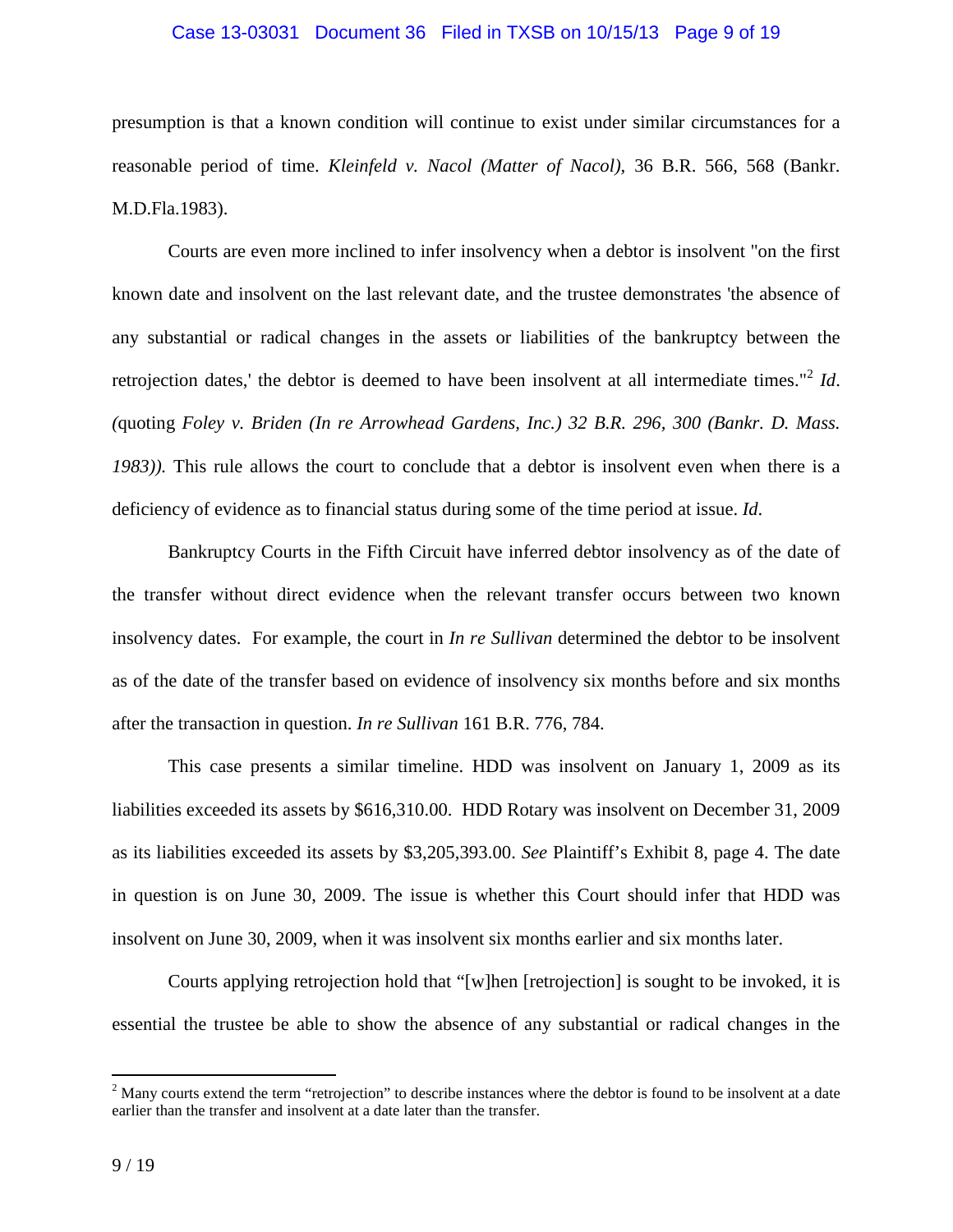#### Case 13-03031 Document 36 Filed in TXSB on 10/15/13 Page 9 of 19

presumption is that a known condition will continue to exist under similar circumstances for a reasonable period of time. *Kleinfeld v. Nacol (Matter of Nacol),* 36 B.R. 566, 568 (Bankr. M.D.Fla.1983).

Courts are even more inclined to infer insolvency when a debtor is insolvent "on the first known date and insolvent on the last relevant date, and the trustee demonstrates 'the absence of any substantial or radical changes in the assets or liabilities of the bankruptcy between the retrojection dates,' the debtor is deemed to have been insolvent at all intermediate times."<sup>2</sup> Id. *(*quoting *Foley v. Briden (In re Arrowhead Gardens, Inc.) 32 B.R. 296, 300 (Bankr. D. Mass. 1983)).* This rule allows the court to conclude that a debtor is insolvent even when there is a deficiency of evidence as to financial status during some of the time period at issue. *Id*.

Bankruptcy Courts in the Fifth Circuit have inferred debtor insolvency as of the date of the transfer without direct evidence when the relevant transfer occurs between two known insolvency dates. For example, the court in *In re Sullivan* determined the debtor to be insolvent as of the date of the transfer based on evidence of insolvency six months before and six months after the transaction in question. *In re Sullivan* 161 B.R. 776, 784.

This case presents a similar timeline. HDD was insolvent on January 1, 2009 as its liabilities exceeded its assets by \$616,310.00. HDD Rotary was insolvent on December 31, 2009 as its liabilities exceeded its assets by \$3,205,393.00. *See* Plaintiff's Exhibit 8, page 4. The date in question is on June 30, 2009. The issue is whether this Court should infer that HDD was insolvent on June 30, 2009, when it was insolvent six months earlier and six months later.

Courts applying retrojection hold that "[w]hen [retrojection] is sought to be invoked, it is essential the trustee be able to show the absence of any substantial or radical changes in the

<sup>&</sup>lt;sup>2</sup> Many courts extend the term "retrojection" to describe instances where the debtor is found to be insolvent at a date earlier than the transfer and insolvent at a date later than the transfer.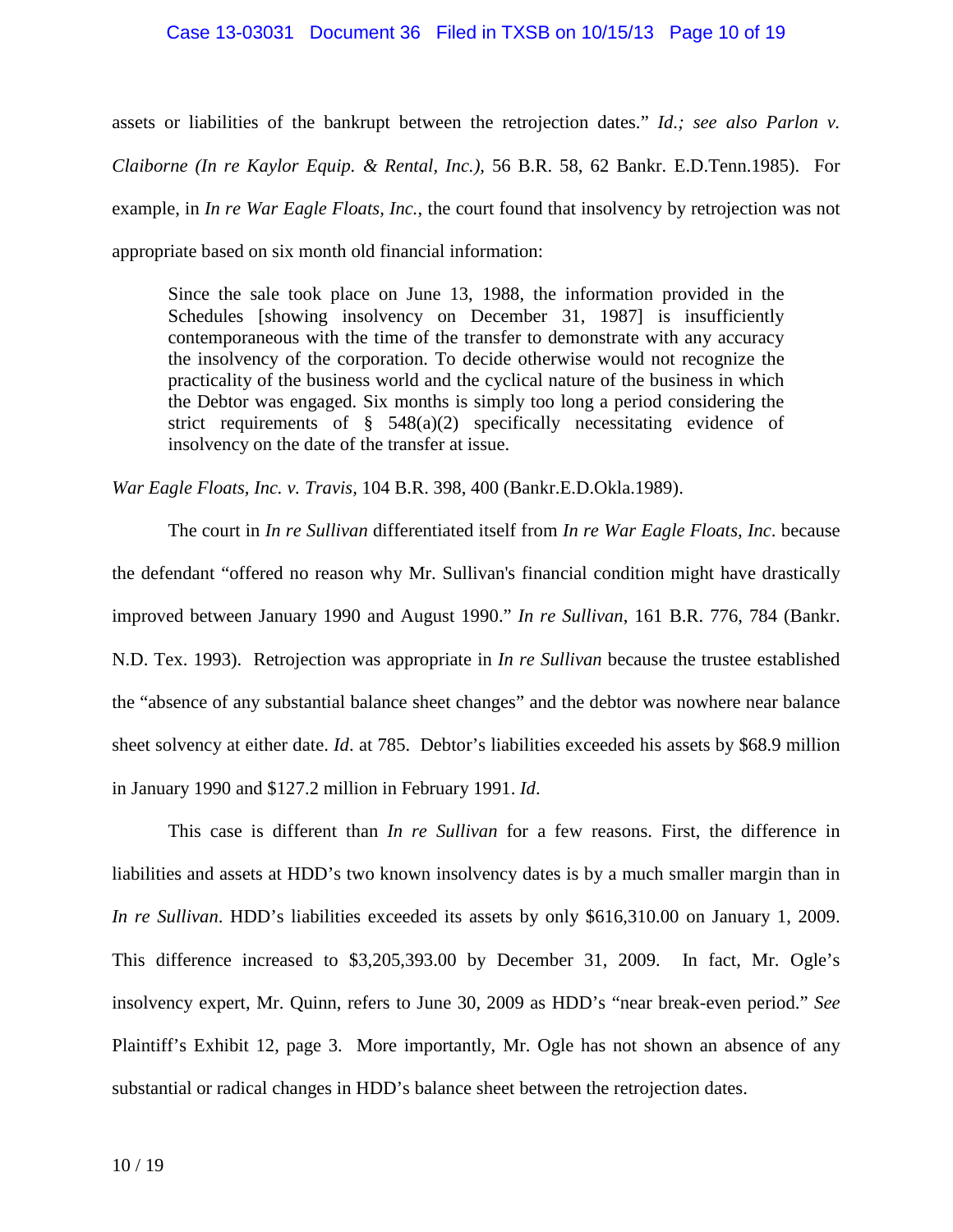#### Case 13-03031 Document 36 Filed in TXSB on 10/15/13 Page 10 of 19

assets or liabilities of the bankrupt between the retrojection dates." *Id.; see also Parlon v. Claiborne (In re Kaylor Equip. & Rental, Inc.),* 56 B.R. 58, 62 Bankr. E.D.Tenn.1985). For example, in *In re War Eagle Floats, Inc.*, the court found that insolvency by retrojection was not appropriate based on six month old financial information:

Since the sale took place on June 13, 1988, the information provided in the Schedules [showing insolvency on December 31, 1987] is insufficiently contemporaneous with the time of the transfer to demonstrate with any accuracy the insolvency of the corporation. To decide otherwise would not recognize the practicality of the business world and the cyclical nature of the business in which the Debtor was engaged. Six months is simply too long a period considering the strict requirements of § 548(a)(2) specifically necessitating evidence of insolvency on the date of the transfer at issue.

*War Eagle Floats, Inc. v. Travis,* 104 B.R. 398, 400 (Bankr.E.D.Okla.1989).

The court in *In re Sullivan* differentiated itself from *In re War Eagle Floats, Inc*. because the defendant "offered no reason why Mr. Sullivan's financial condition might have drastically improved between January 1990 and August 1990." *In re Sullivan*, 161 B.R. 776, 784 (Bankr. N.D. Tex. 1993). Retrojection was appropriate in *In re Sullivan* because the trustee established the "absence of any substantial balance sheet changes" and the debtor was nowhere near balance sheet solvency at either date. *Id*. at 785. Debtor's liabilities exceeded his assets by \$68.9 million in January 1990 and \$127.2 million in February 1991. *Id*.

This case is different than *In re Sullivan* for a few reasons. First, the difference in liabilities and assets at HDD's two known insolvency dates is by a much smaller margin than in *In re Sullivan*. HDD's liabilities exceeded its assets by only \$616,310.00 on January 1, 2009. This difference increased to \$3,205,393.00 by December 31, 2009. In fact, Mr. Ogle's insolvency expert, Mr. Quinn, refers to June 30, 2009 as HDD's "near break-even period." *See* Plaintiff's Exhibit 12, page 3. More importantly, Mr. Ogle has not shown an absence of any substantial or radical changes in HDD's balance sheet between the retrojection dates.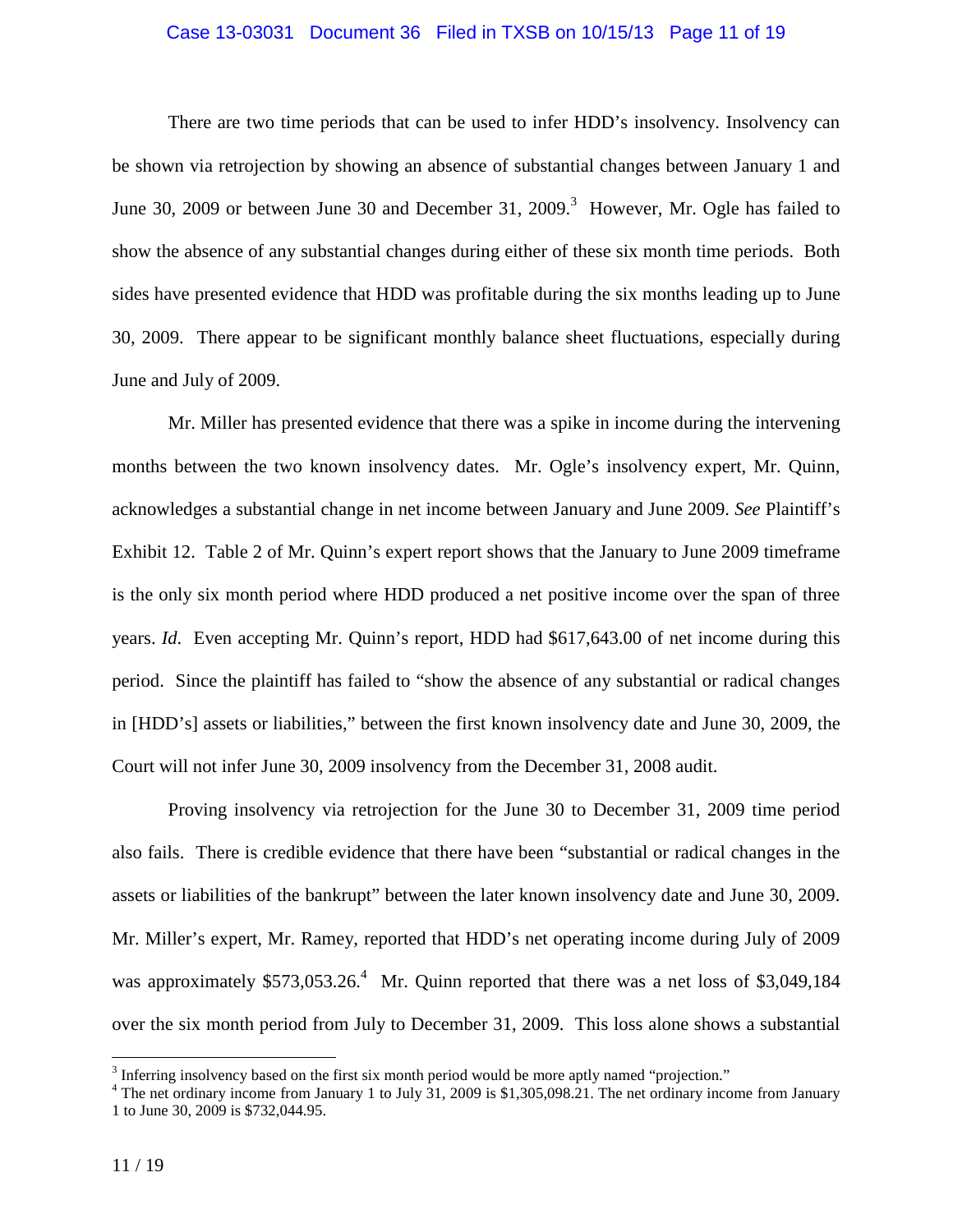#### Case 13-03031 Document 36 Filed in TXSB on 10/15/13 Page 11 of 19

There are two time periods that can be used to infer HDD's insolvency. Insolvency can be shown via retrojection by showing an absence of substantial changes between January 1 and June 30, 2009 or between June 30 and December 31, 2009.<sup>3</sup> However, Mr. Ogle has failed to show the absence of any substantial changes during either of these six month time periods. Both sides have presented evidence that HDD was profitable during the six months leading up to June 30, 2009. There appear to be significant monthly balance sheet fluctuations, especially during June and July of 2009.

Mr. Miller has presented evidence that there was a spike in income during the intervening months between the two known insolvency dates. Mr. Ogle's insolvency expert, Mr. Quinn, acknowledges a substantial change in net income between January and June 2009. *See* Plaintiff's Exhibit 12. Table 2 of Mr. Quinn's expert report shows that the January to June 2009 timeframe is the only six month period where HDD produced a net positive income over the span of three years. *Id*. Even accepting Mr. Quinn's report, HDD had \$617,643.00 of net income during this period. Since the plaintiff has failed to "show the absence of any substantial or radical changes in [HDD's] assets or liabilities," between the first known insolvency date and June 30, 2009, the Court will not infer June 30, 2009 insolvency from the December 31, 2008 audit.

Proving insolvency via retrojection for the June 30 to December 31, 2009 time period also fails. There is credible evidence that there have been "substantial or radical changes in the assets or liabilities of the bankrupt" between the later known insolvency date and June 30, 2009. Mr. Miller's expert, Mr. Ramey, reported that HDD's net operating income during July of 2009 was approximately  $$573,053.26$ <sup>4</sup> Mr. Quinn reported that there was a net loss of \$3,049,184 over the six month period from July to December 31, 2009. This loss alone shows a substantial

<u>.</u>

 $3$  Inferring insolvency based on the first six month period would be more aptly named "projection."

<sup>&</sup>lt;sup>4</sup> The net ordinary income from January 1 to July 31, 2009 is \$1,305,098.21. The net ordinary income from January 1 to June 30, 2009 is \$732,044.95.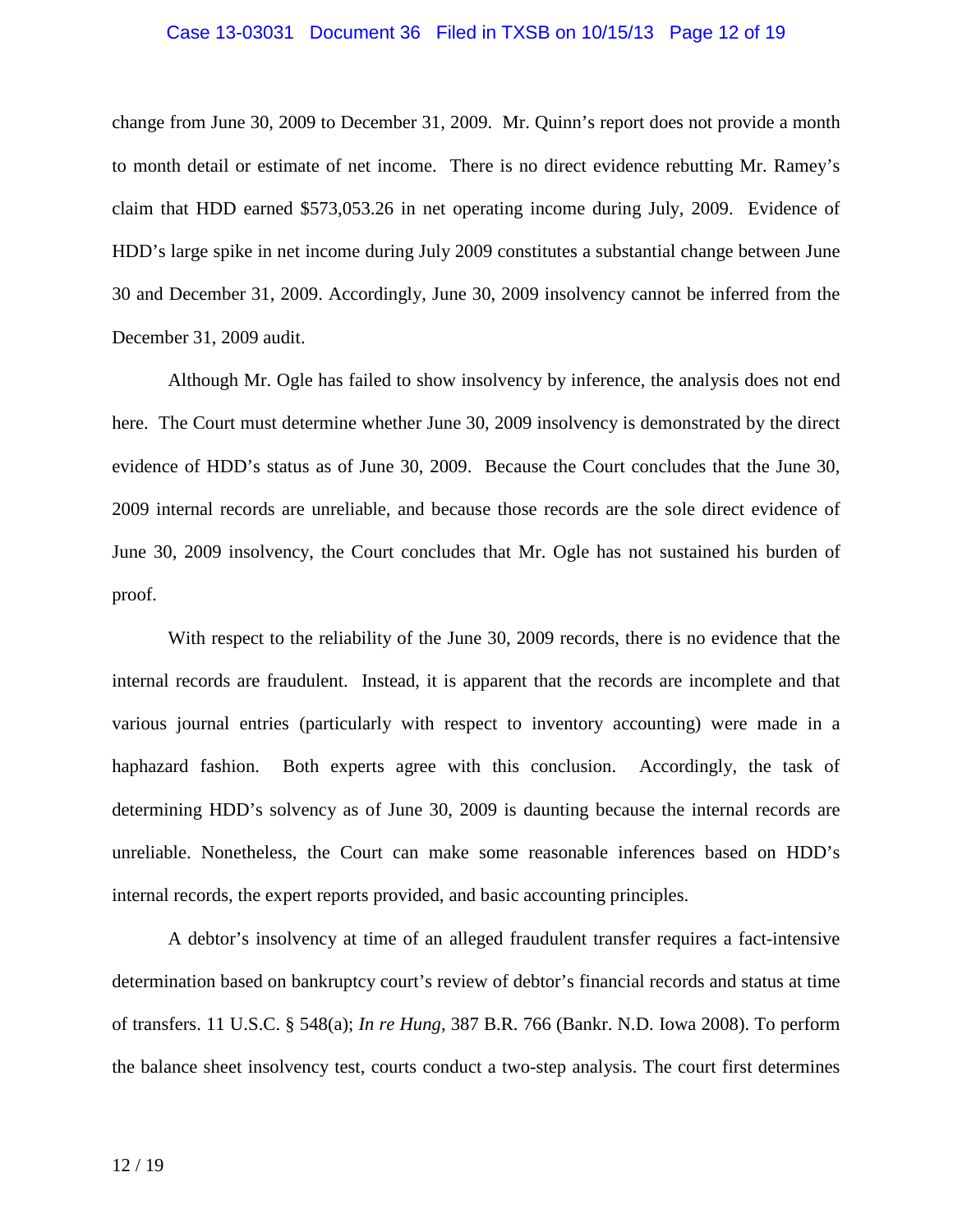#### Case 13-03031 Document 36 Filed in TXSB on 10/15/13 Page 12 of 19

change from June 30, 2009 to December 31, 2009. Mr. Quinn's report does not provide a month to month detail or estimate of net income. There is no direct evidence rebutting Mr. Ramey's claim that HDD earned \$573,053.26 in net operating income during July, 2009. Evidence of HDD's large spike in net income during July 2009 constitutes a substantial change between June 30 and December 31, 2009. Accordingly, June 30, 2009 insolvency cannot be inferred from the December 31, 2009 audit.

Although Mr. Ogle has failed to show insolvency by inference, the analysis does not end here. The Court must determine whether June 30, 2009 insolvency is demonstrated by the direct evidence of HDD's status as of June 30, 2009. Because the Court concludes that the June 30, 2009 internal records are unreliable, and because those records are the sole direct evidence of June 30, 2009 insolvency, the Court concludes that Mr. Ogle has not sustained his burden of proof.

With respect to the reliability of the June 30, 2009 records, there is no evidence that the internal records are fraudulent. Instead, it is apparent that the records are incomplete and that various journal entries (particularly with respect to inventory accounting) were made in a haphazard fashion. Both experts agree with this conclusion. Accordingly, the task of determining HDD's solvency as of June 30, 2009 is daunting because the internal records are unreliable. Nonetheless, the Court can make some reasonable inferences based on HDD's internal records, the expert reports provided, and basic accounting principles.

A debtor's insolvency at time of an alleged fraudulent transfer requires a fact-intensive determination based on bankruptcy court's review of debtor's financial records and status at time of transfers. 11 U.S.C. § 548(a); *In re Hung*, 387 B.R. 766 (Bankr. N.D. Iowa 2008). To perform the balance sheet insolvency test, courts conduct a two-step analysis. The court first determines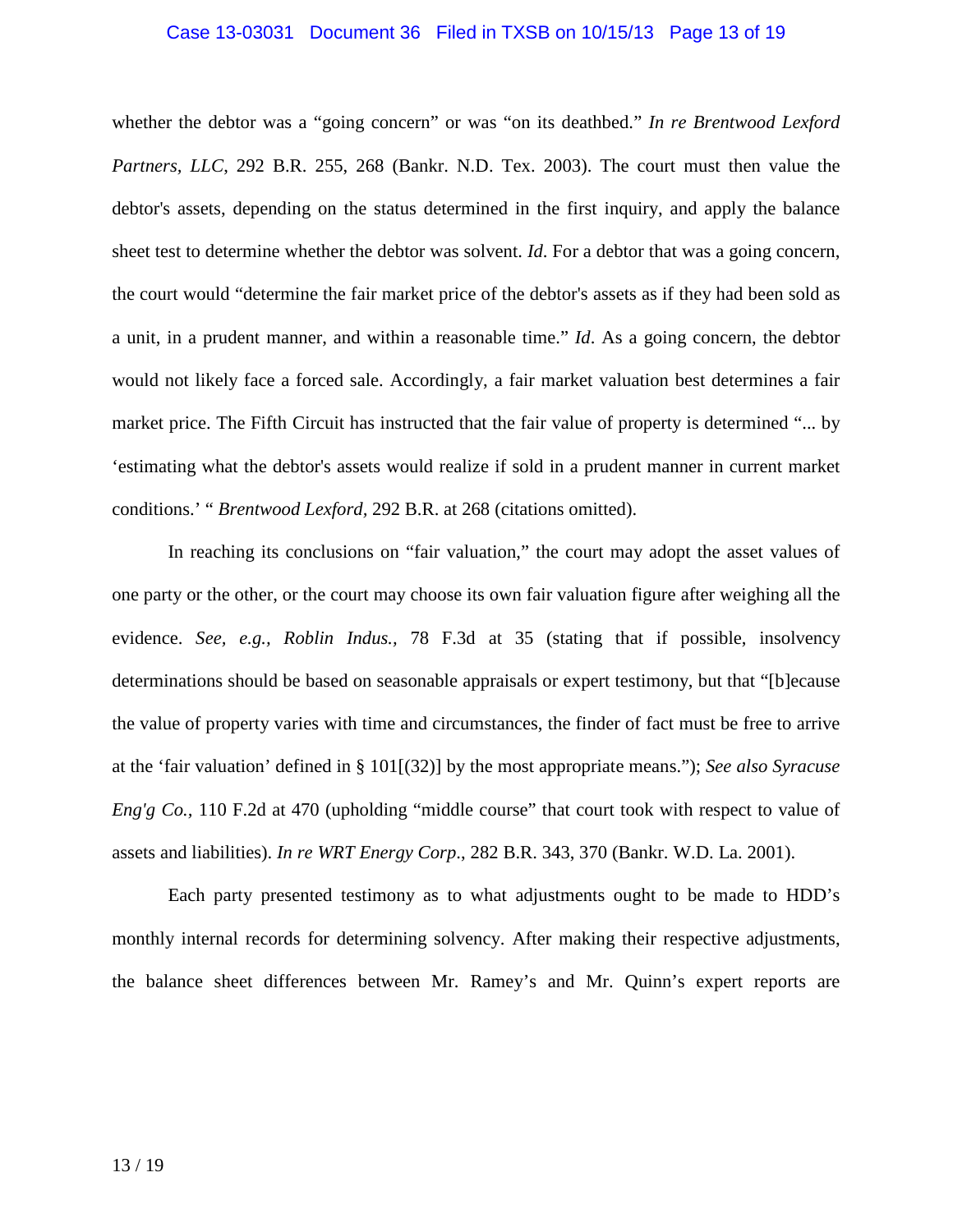#### Case 13-03031 Document 36 Filed in TXSB on 10/15/13 Page 13 of 19

whether the debtor was a "going concern" or was "on its deathbed." *In re Brentwood Lexford Partners, LLC*, 292 B.R. 255, 268 (Bankr. N.D. Tex. 2003). The court must then value the debtor's assets, depending on the status determined in the first inquiry, and apply the balance sheet test to determine whether the debtor was solvent. *Id*. For a debtor that was a going concern, the court would "determine the fair market price of the debtor's assets as if they had been sold as a unit, in a prudent manner, and within a reasonable time." *Id*. As a going concern, the debtor would not likely face a forced sale. Accordingly, a fair market valuation best determines a fair market price. The Fifth Circuit has instructed that the fair value of property is determined "... by 'estimating what the debtor's assets would realize if sold in a prudent manner in current market conditions.' " *Brentwood Lexford,* 292 B.R. at 268 (citations omitted).

In reaching its conclusions on "fair valuation," the court may adopt the asset values of one party or the other, or the court may choose its own fair valuation figure after weighing all the evidence. *See, e.g., Roblin Indus.,* 78 F.3d at 35 (stating that if possible, insolvency determinations should be based on seasonable appraisals or expert testimony, but that "[b]ecause the value of property varies with time and circumstances, the finder of fact must be free to arrive at the 'fair valuation' defined in § 101[(32)] by the most appropriate means."); *See also Syracuse Eng'g Co.,* 110 F.2d at 470 (upholding "middle course" that court took with respect to value of assets and liabilities). *In re WRT Energy Corp*., 282 B.R. 343, 370 (Bankr. W.D. La. 2001).

Each party presented testimony as to what adjustments ought to be made to HDD's monthly internal records for determining solvency. After making their respective adjustments, the balance sheet differences between Mr. Ramey's and Mr. Quinn's expert reports are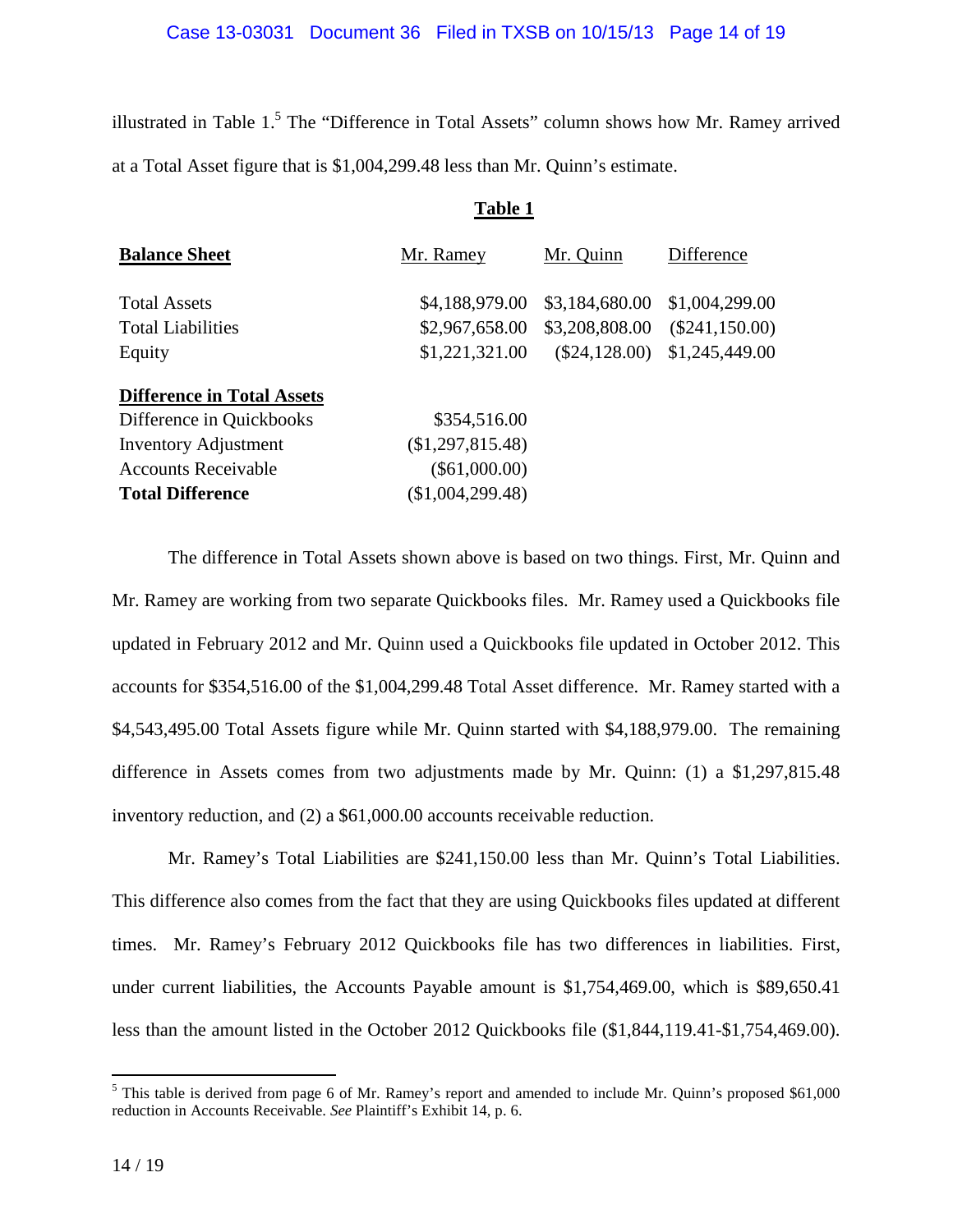illustrated in Table  $1<sup>5</sup>$  The "Difference in Total Assets" column shows how Mr. Ramey arrived at a Total Asset figure that is \$1,004,299.48 less than Mr. Quinn's estimate.

**Table 1** 

|                                   | 1 able 1         |                 |                  |
|-----------------------------------|------------------|-----------------|------------------|
| <b>Balance Sheet</b>              | Mr. Ramey        | Mr. Quinn       | Difference       |
| <b>Total Assets</b>               | \$4,188,979.00   | \$3,184,680.00  | \$1,004,299.00   |
| <b>Total Liabilities</b>          | \$2,967,658.00   | \$3,208,808.00  | $(\$241,150.00)$ |
| Equity                            | \$1,221,321.00   | $(\$24,128.00)$ | \$1,245,449.00   |
| <b>Difference in Total Assets</b> |                  |                 |                  |
| Difference in Quickbooks          | \$354,516.00     |                 |                  |
| <b>Inventory Adjustment</b>       | (\$1,297,815.48) |                 |                  |
| <b>Accounts Receivable</b>        | $(\$61,000.00)$  |                 |                  |
| <b>Total Difference</b>           | (\$1,004,299.48) |                 |                  |
|                                   |                  |                 |                  |

The difference in Total Assets shown above is based on two things. First, Mr. Quinn and Mr. Ramey are working from two separate Quickbooks files. Mr. Ramey used a Quickbooks file updated in February 2012 and Mr. Quinn used a Quickbooks file updated in October 2012. This accounts for \$354,516.00 of the \$1,004,299.48 Total Asset difference. Mr. Ramey started with a \$4,543,495.00 Total Assets figure while Mr. Quinn started with \$4,188,979.00. The remaining difference in Assets comes from two adjustments made by Mr. Quinn: (1) a \$1,297,815.48 inventory reduction, and (2) a \$61,000.00 accounts receivable reduction.

Mr. Ramey's Total Liabilities are \$241,150.00 less than Mr. Quinn's Total Liabilities. This difference also comes from the fact that they are using Quickbooks files updated at different times. Mr. Ramey's February 2012 Quickbooks file has two differences in liabilities. First, under current liabilities, the Accounts Payable amount is \$1,754,469.00, which is \$89,650.41 less than the amount listed in the October 2012 Quickbooks file (\$1,844,119.41-\$1,754,469.00).

<sup>&</sup>lt;sup>5</sup> This table is derived from page 6 of Mr. Ramey's report and amended to include Mr. Quinn's proposed \$61,000 reduction in Accounts Receivable. *See* Plaintiff's Exhibit 14, p. 6.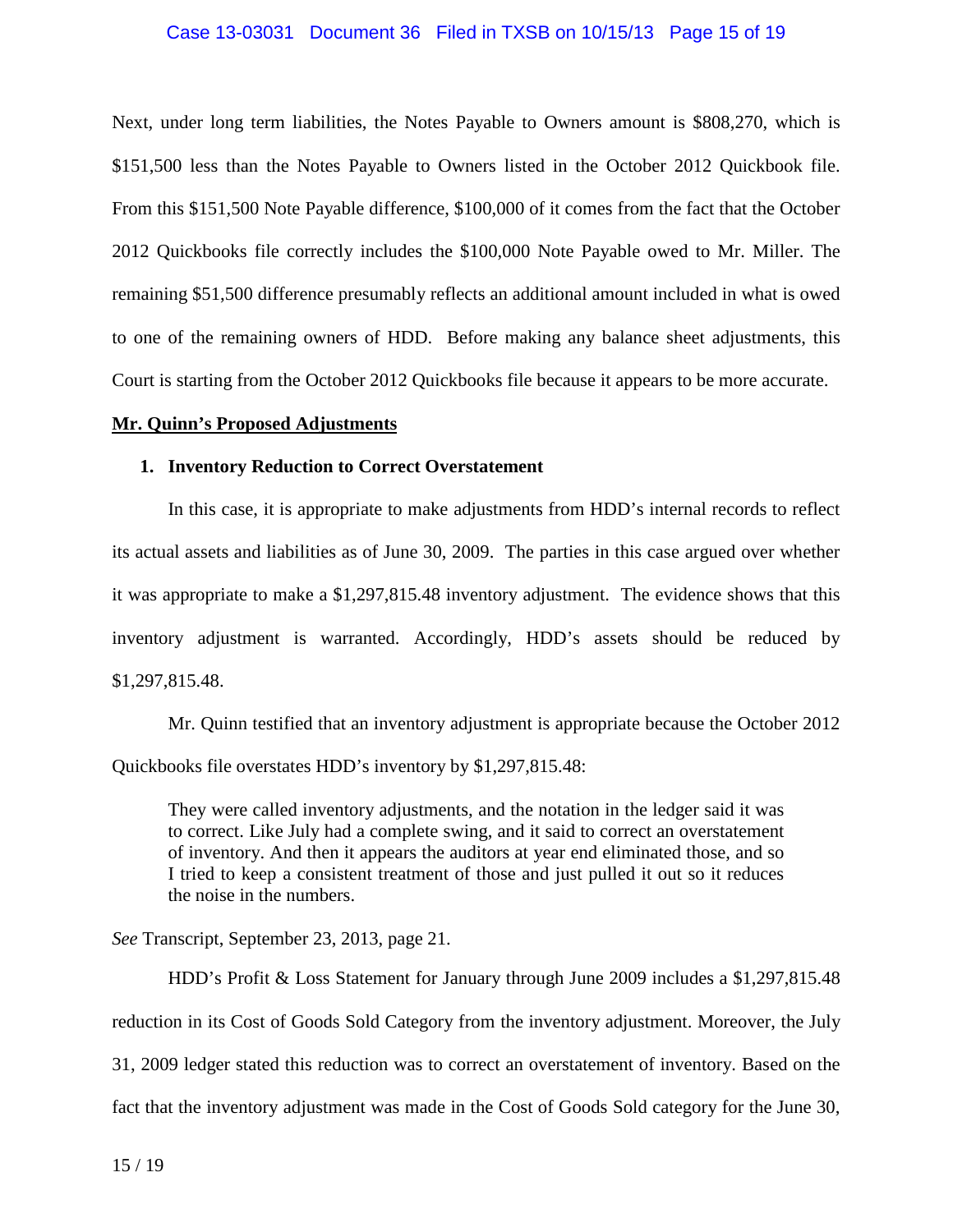#### Case 13-03031 Document 36 Filed in TXSB on 10/15/13 Page 15 of 19

Next, under long term liabilities, the Notes Payable to Owners amount is \$808,270, which is \$151,500 less than the Notes Payable to Owners listed in the October 2012 Quickbook file. From this \$151,500 Note Payable difference, \$100,000 of it comes from the fact that the October 2012 Quickbooks file correctly includes the \$100,000 Note Payable owed to Mr. Miller. The remaining \$51,500 difference presumably reflects an additional amount included in what is owed to one of the remaining owners of HDD. Before making any balance sheet adjustments, this Court is starting from the October 2012 Quickbooks file because it appears to be more accurate.

#### **Mr. Quinn's Proposed Adjustments**

#### **1. Inventory Reduction to Correct Overstatement**

In this case, it is appropriate to make adjustments from HDD's internal records to reflect its actual assets and liabilities as of June 30, 2009. The parties in this case argued over whether it was appropriate to make a \$1,297,815.48 inventory adjustment. The evidence shows that this inventory adjustment is warranted. Accordingly, HDD's assets should be reduced by \$1,297,815.48.

Mr. Quinn testified that an inventory adjustment is appropriate because the October 2012 Quickbooks file overstates HDD's inventory by \$1,297,815.48:

They were called inventory adjustments, and the notation in the ledger said it was to correct. Like July had a complete swing, and it said to correct an overstatement of inventory. And then it appears the auditors at year end eliminated those, and so I tried to keep a consistent treatment of those and just pulled it out so it reduces the noise in the numbers.

*See* Transcript, September 23, 2013, page 21.

HDD's Profit & Loss Statement for January through June 2009 includes a \$1,297,815.48 reduction in its Cost of Goods Sold Category from the inventory adjustment. Moreover, the July 31, 2009 ledger stated this reduction was to correct an overstatement of inventory. Based on the fact that the inventory adjustment was made in the Cost of Goods Sold category for the June 30,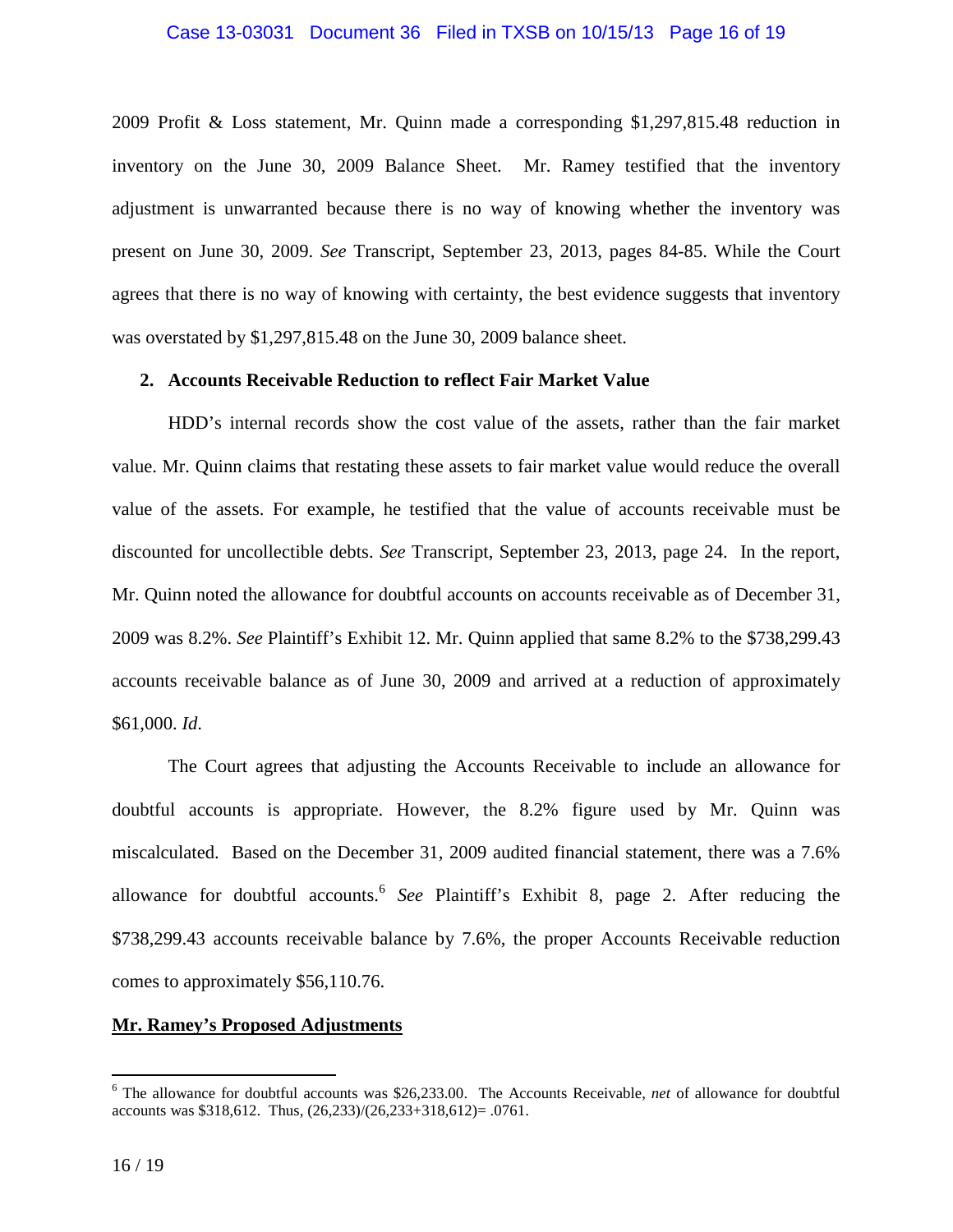#### Case 13-03031 Document 36 Filed in TXSB on 10/15/13 Page 16 of 19

2009 Profit & Loss statement, Mr. Quinn made a corresponding \$1,297,815.48 reduction in inventory on the June 30, 2009 Balance Sheet. Mr. Ramey testified that the inventory adjustment is unwarranted because there is no way of knowing whether the inventory was present on June 30, 2009. *See* Transcript, September 23, 2013, pages 84-85. While the Court agrees that there is no way of knowing with certainty, the best evidence suggests that inventory was overstated by \$1,297,815.48 on the June 30, 2009 balance sheet.

## **2. Accounts Receivable Reduction to reflect Fair Market Value**

HDD's internal records show the cost value of the assets, rather than the fair market value. Mr. Quinn claims that restating these assets to fair market value would reduce the overall value of the assets. For example, he testified that the value of accounts receivable must be discounted for uncollectible debts. *See* Transcript, September 23, 2013, page 24. In the report, Mr. Quinn noted the allowance for doubtful accounts on accounts receivable as of December 31, 2009 was 8.2%. *See* Plaintiff's Exhibit 12. Mr. Quinn applied that same 8.2% to the \$738,299.43 accounts receivable balance as of June 30, 2009 and arrived at a reduction of approximately \$61,000. *Id*.

The Court agrees that adjusting the Accounts Receivable to include an allowance for doubtful accounts is appropriate. However, the 8.2% figure used by Mr. Quinn was miscalculated. Based on the December 31, 2009 audited financial statement, there was a 7.6% allowance for doubtful accounts.<sup>6</sup> See Plaintiff's Exhibit 8, page 2. After reducing the \$738,299.43 accounts receivable balance by 7.6%, the proper Accounts Receivable reduction comes to approximately \$56,110.76.

### **Mr. Ramey's Proposed Adjustments**

 6 The allowance for doubtful accounts was \$26,233.00. The Accounts Receivable, *net* of allowance for doubtful accounts was \$318,612. Thus, (26,233)/(26,233+318,612)= .0761.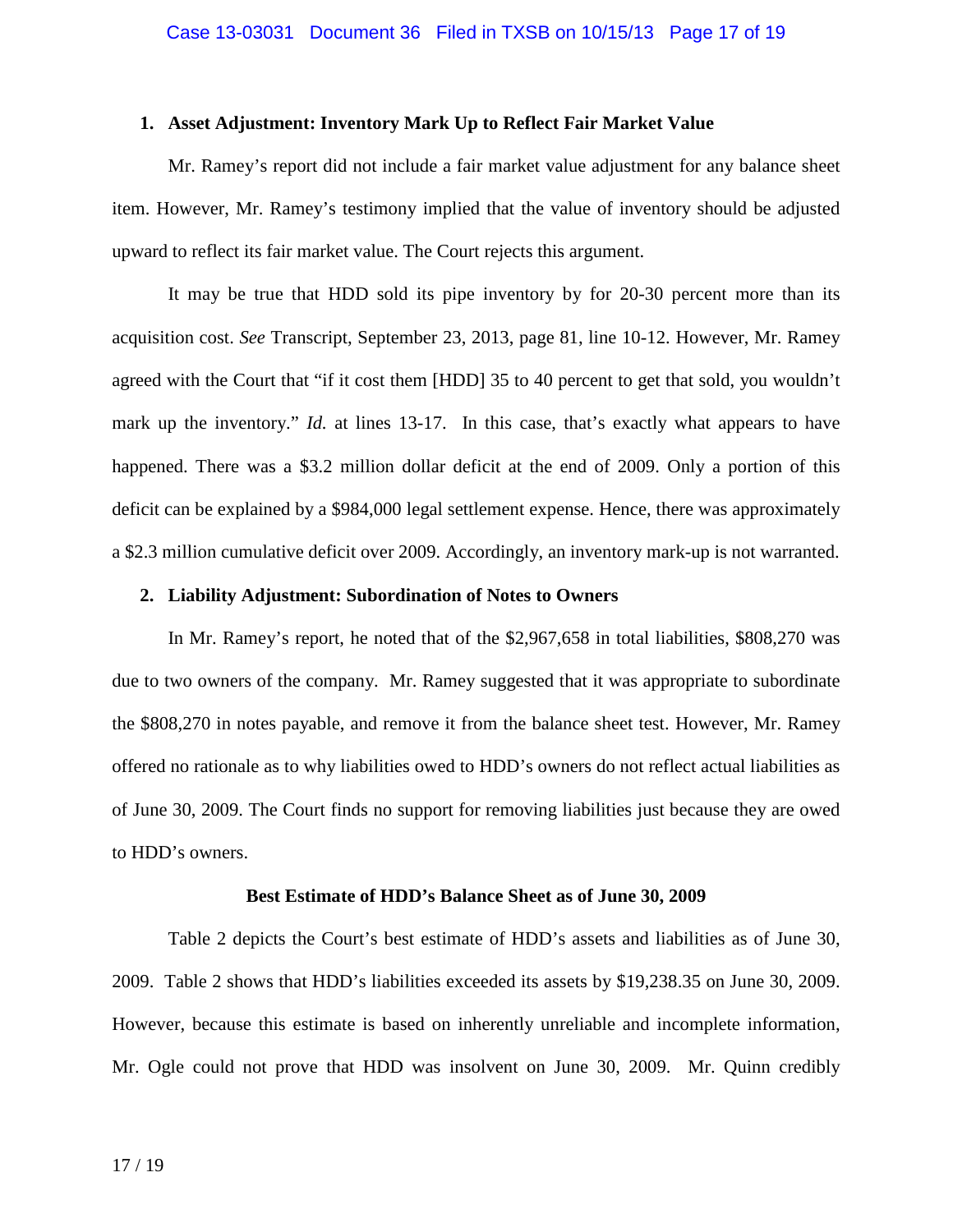#### **1. Asset Adjustment: Inventory Mark Up to Reflect Fair Market Value**

Mr. Ramey's report did not include a fair market value adjustment for any balance sheet item. However, Mr. Ramey's testimony implied that the value of inventory should be adjusted upward to reflect its fair market value. The Court rejects this argument.

It may be true that HDD sold its pipe inventory by for 20-30 percent more than its acquisition cost. *See* Transcript, September 23, 2013, page 81, line 10-12. However, Mr. Ramey agreed with the Court that "if it cost them [HDD] 35 to 40 percent to get that sold, you wouldn't mark up the inventory." *Id.* at lines 13-17. In this case, that's exactly what appears to have happened. There was a \$3.2 million dollar deficit at the end of 2009. Only a portion of this deficit can be explained by a \$984,000 legal settlement expense. Hence, there was approximately a \$2.3 million cumulative deficit over 2009. Accordingly, an inventory mark-up is not warranted.

#### **2. Liability Adjustment: Subordination of Notes to Owners**

In Mr. Ramey's report, he noted that of the \$2,967,658 in total liabilities, \$808,270 was due to two owners of the company. Mr. Ramey suggested that it was appropriate to subordinate the \$808,270 in notes payable, and remove it from the balance sheet test. However, Mr. Ramey offered no rationale as to why liabilities owed to HDD's owners do not reflect actual liabilities as of June 30, 2009. The Court finds no support for removing liabilities just because they are owed to HDD's owners.

#### **Best Estimate of HDD's Balance Sheet as of June 30, 2009**

Table 2 depicts the Court's best estimate of HDD's assets and liabilities as of June 30, 2009. Table 2 shows that HDD's liabilities exceeded its assets by \$19,238.35 on June 30, 2009. However, because this estimate is based on inherently unreliable and incomplete information, Mr. Ogle could not prove that HDD was insolvent on June 30, 2009. Mr. Quinn credibly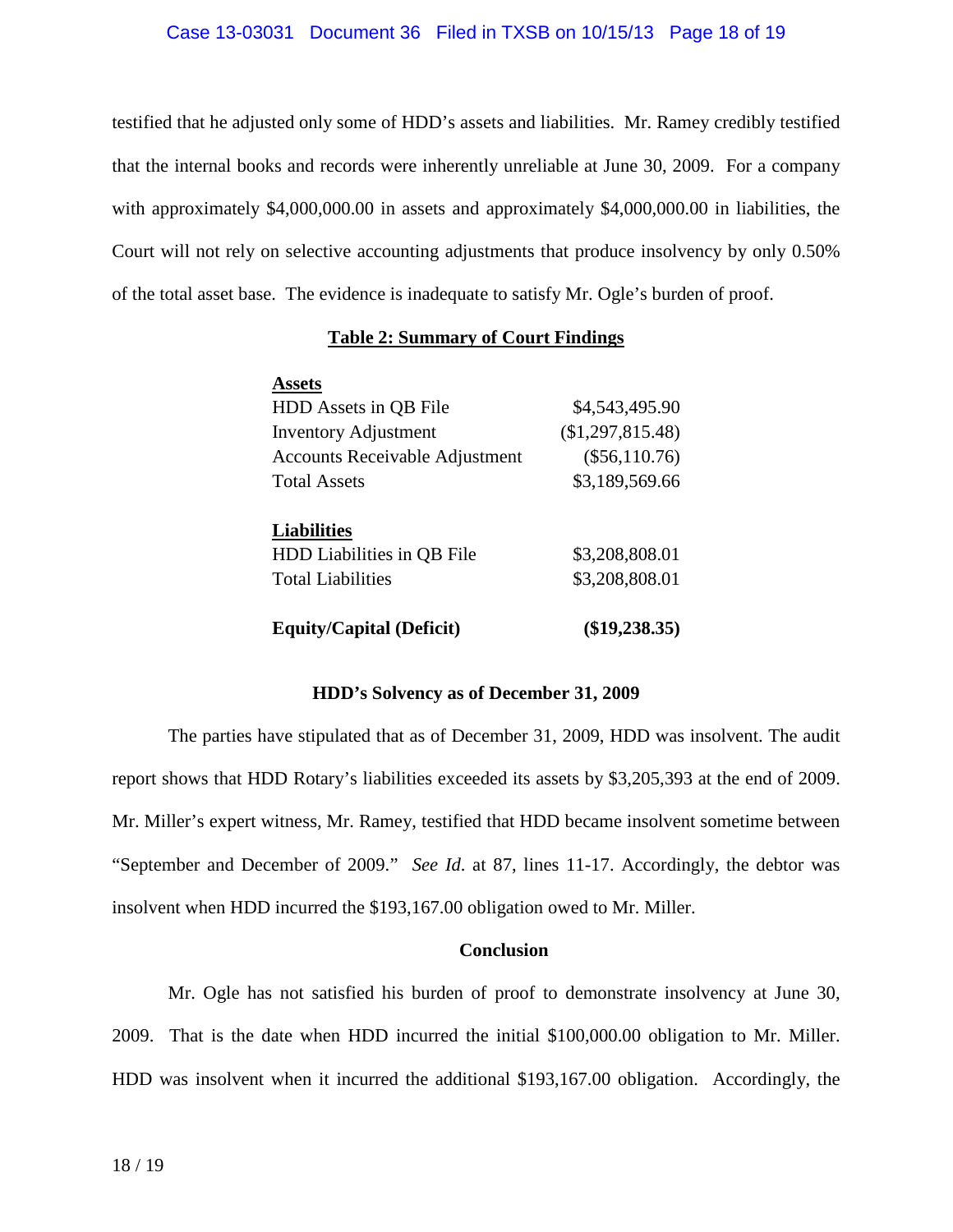#### Case 13-03031 Document 36 Filed in TXSB on 10/15/13 Page 18 of 19

testified that he adjusted only some of HDD's assets and liabilities. Mr. Ramey credibly testified that the internal books and records were inherently unreliable at June 30, 2009. For a company with approximately \$4,000,000.00 in assets and approximately \$4,000,000.00 in liabilities, the Court will not rely on selective accounting adjustments that produce insolvency by only 0.50% of the total asset base. The evidence is inadequate to satisfy Mr. Ogle's burden of proof.

### **Table 2: Summary of Court Findings**

| <b>Assets</b>                         |                  |
|---------------------------------------|------------------|
| HDD Assets in QB File                 | \$4,543,495.90   |
| <b>Inventory Adjustment</b>           | (\$1,297,815.48) |
| <b>Accounts Receivable Adjustment</b> | $(\$56,110.76)$  |
| <b>Total Assets</b>                   | \$3,189,569.66   |
|                                       |                  |
| <b>Liabilities</b>                    |                  |
| HDD Liabilities in QB File            | \$3,208,808.01   |
| <b>Total Liabilities</b>              | \$3,208,808.01   |
| <b>Equity/Capital (Deficit)</b>       | $(\$19,238.35)$  |

#### **HDD's Solvency as of December 31, 2009**

The parties have stipulated that as of December 31, 2009, HDD was insolvent. The audit report shows that HDD Rotary's liabilities exceeded its assets by \$3,205,393 at the end of 2009. Mr. Miller's expert witness, Mr. Ramey, testified that HDD became insolvent sometime between "September and December of 2009." *See Id*. at 87, lines 11-17. Accordingly, the debtor was insolvent when HDD incurred the \$193,167.00 obligation owed to Mr. Miller.

## **Conclusion**

Mr. Ogle has not satisfied his burden of proof to demonstrate insolvency at June 30, 2009. That is the date when HDD incurred the initial \$100,000.00 obligation to Mr. Miller. HDD was insolvent when it incurred the additional \$193,167.00 obligation. Accordingly, the